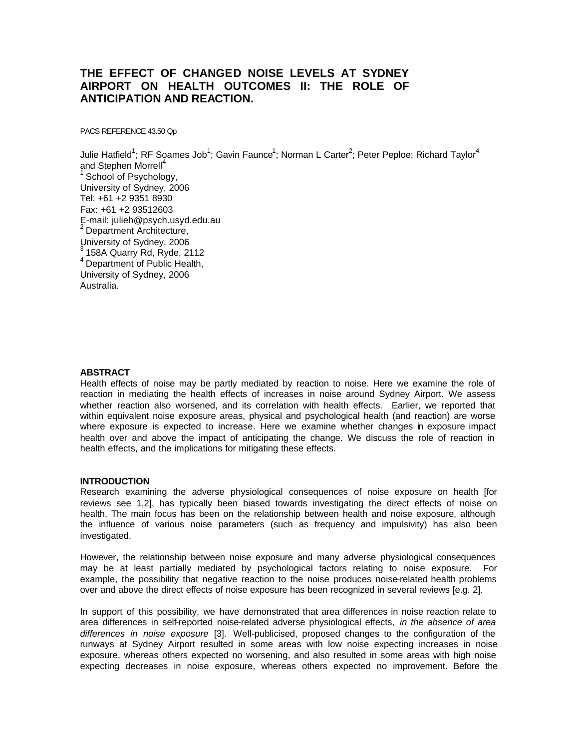# **THE EFFECT OF CHANGED NOISE LEVELS AT SYDNEY AIRPORT ON HEALTH OUTCOMES II: THE ROLE OF ANTICIPATION AND REACTION.**

PACS REFERENCE 43.50 Qp

Julie Hatfield<sup>1</sup>; RF Soames Job<sup>1</sup>; Gavin Faunce<sup>1</sup>; Norman L Carter<sup>2</sup>; Peter Peploe; Richard Taylor<sup>4;</sup> and Stephen Morrell<sup>4</sup> <sup>1</sup> School of Psychology, University of Sydney, 2006 Tel: +61 +2 9351 8930 Fax: +61 +2 93512603 E-mail: julieh@psych.usyd.edu.au Department Architecture, University of Sydney, 2006  $3$  158A Quarry Rd, Ryde, 2112  $4$  Department of Public Health, University of Sydney, 2006 Australia.

# **ABSTRACT**

Health effects of noise may be partly mediated by reaction to noise. Here we examine the role of reaction in mediating the health effects of increases in noise around Sydney Airport. We assess whether reaction also worsened, and its correlation with health effects. Earlier, we reported that within equivalent noise exposure areas, physical and psychological health (and reaction) are worse where exposure is expected to increase. Here we examine whether changes in exposure impact health over and above the impact of anticipating the change. We discuss the role of reaction in health effects, and the implications for mitigating these effects.

## **INTRODUCTION**

Research examining the adverse physiological consequences of noise exposure on health [for reviews see 1,2], has typically been biased towards investigating the direct effects of noise on health. The main focus has been on the relationship between health and noise exposure, although the influence of various noise parameters (such as frequency and impulsivity) has also been investigated.

However, the relationship between noise exposure and many adverse physiological consequences may be at least partially mediated by psychological factors relating to noise exposure. For example, the possibility that negative reaction to the noise produces noise-related health problems over and above the direct effects of noise exposure has been recognized in several reviews [e.g. 2].

In support of this possibility, we have demonstrated that area differences in noise reaction relate to area differences in self-reported noise-related adverse physiological effects, *in the absence of area differences in noise exposure* [3]*.* Well-publicised, proposed changes to the configuration of the runways at Sydney Airport resulted in some areas with low noise expecting increases in noise exposure, whereas others expected no worsening, and also resulted in some areas with high noise expecting decreases in noise exposure, whereas others expected no improvement. Before the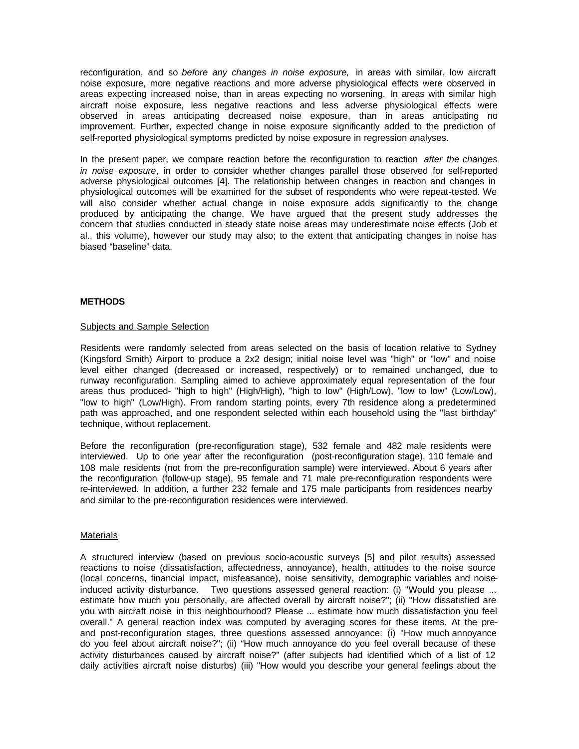reconfiguration, and so *before any changes in noise exposure,* in areas with similar, low aircraft noise exposure, more negative reactions and more adverse physiological effects were observed in areas expecting increased noise, than in areas expecting no worsening. In areas with similar high aircraft noise exposure, less negative reactions and less adverse physiological effects were observed in areas anticipating decreased noise exposure, than in areas anticipating no improvement. Further, expected change in noise exposure significantly added to the prediction of self-reported physiological symptoms predicted by noise exposure in regression analyses.

In the present paper, we compare reaction before the reconfiguration to reaction *after the changes in noise exposure*, in order to consider whether changes parallel those observed for self-reported adverse physiological outcomes [4]. The relationship between changes in reaction and changes in physiological outcomes will be examined for the subset of respondents who were repeat-tested. We will also consider whether actual change in noise exposure adds significantly to the change produced by anticipating the change. We have argued that the present study addresses the concern that studies conducted in steady state noise areas may underestimate noise effects (Job et al., this volume), however our study may also; to the extent that anticipating changes in noise has biased "baseline" data.

# **METHODS**

# Subjects and Sample Selection

Residents were randomly selected from areas selected on the basis of location relative to Sydney (Kingsford Smith) Airport to produce a 2x2 design; initial noise level was "high" or "low" and noise level either changed (decreased or increased, respectively) or to remained unchanged, due to runway reconfiguration. Sampling aimed to achieve approximately equal representation of the four areas thus produced- "high to high" (High/High), "high to low" (High/Low), "low to low" (Low/Low), "low to high" (Low/High). From random starting points, every 7th residence along a predetermined path was approached, and one respondent selected within each household using the "last birthday" technique, without replacement.

Before the reconfiguration (pre-reconfiguration stage), 532 female and 482 male residents were interviewed. Up to one year after the reconfiguration (post-reconfiguration stage), 110 female and 108 male residents (not from the pre-reconfiguration sample) were interviewed. About 6 years after the reconfiguration (follow-up stage), 95 female and 71 male pre-reconfiguration respondents were re-interviewed. In addition, a further 232 female and 175 male participants from residences nearby and similar to the pre-reconfiguration residences were interviewed.

## **Materials**

A structured interview (based on previous socio-acoustic surveys [5] and pilot results) assessed reactions to noise (dissatisfaction, affectedness, annoyance), health, attitudes to the noise source (local concerns, financial impact, misfeasance), noise sensitivity, demographic variables and noiseinduced activity disturbance. Two questions assessed general reaction: (i) "Would you please ... estimate how much you personally, are affected overall by aircraft noise?"; (ii) "How dissatisfied are you with aircraft noise in this neighbourhood? Please ... estimate how much dissatisfaction you feel overall." A general reaction index was computed by averaging scores for these items. At the preand post-reconfiguration stages, three questions assessed annoyance: (i) "How much annoyance do you feel about aircraft noise?"; (ii) "How much annoyance do you feel overall because of these activity disturbances caused by aircraft noise?" (after subjects had identified which of a list of 12 daily activities aircraft noise disturbs) (iii) "How would you describe your general feelings about the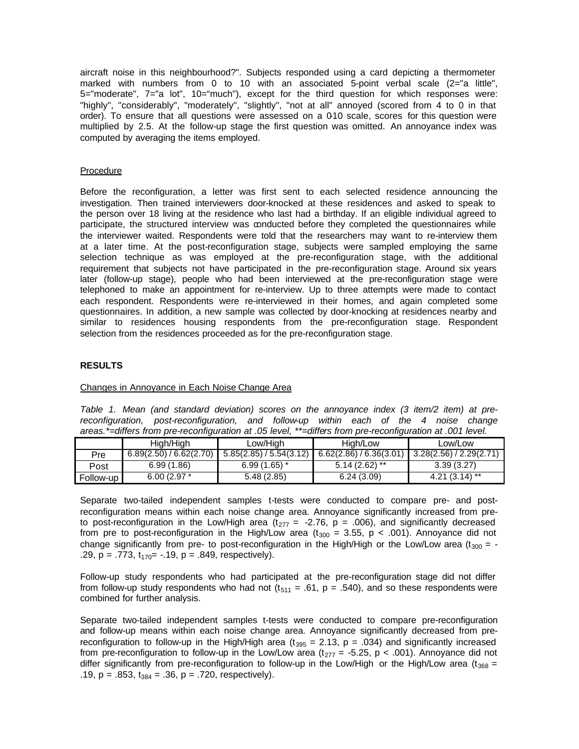aircraft noise in this neighbourhood?". Subjects responded using a card depicting a thermometer marked with numbers from 0 to 10 with an associated 5-point verbal scale (2="a little", 5="moderate", 7="a lot", 10="much"), except for the third question for which responses were: "highly", "considerably", "moderately", "slightly", "not at all" annoyed (scored from 4 to 0 in that order). To ensure that all questions were assessed on a 0-10 scale, scores for this question were multiplied by 2.5. At the follow-up stage the first question was omitted. An annoyance index was computed by averaging the items employed.

# Procedure

Before the reconfiguration, a letter was first sent to each selected residence announcing the investigation. Then trained interviewers door-knocked at these residences and asked to speak to the person over 18 living at the residence who last had a birthday. If an eligible individual agreed to participate, the structured interview was conducted before they completed the questionnaires while the interviewer waited. Respondents were told that the researchers may want to re-interview them at a later time. At the post-reconfiguration stage, subjects were sampled employing the same selection technique as was employed at the pre-reconfiguration stage, with the additional requirement that subjects not have participated in the pre-reconfiguration stage. Around six years later (follow-up stage), people who had been interviewed at the pre-reconfiguration stage were telephoned to make an appointment for re-interview. Up to three attempts were made to contact each respondent. Respondents were re-interviewed in their homes, and again completed some questionnaires. In addition, a new sample was collected by door-knocking at residences nearby and similar to residences housing respondents from the pre-reconfiguration stage. Respondent selection from the residences proceeded as for the pre-reconfiguration stage.

## **RESULTS**

## Changes in Annoyance in Each Noise Change Area

*Table 1. Mean (and standard deviation) scores on the annoyance index (3 item/2 item) at prereconfiguration, post-reconfiguration, and follow-up within each of the 4 noise change areas.\*=differs from pre-reconfiguration at .05 level, \*\*=differs from pre-reconfiguration at .001 level.*

|            | Hiah/Hiah               | Low/High                | High/Low                | Low/Low               |  |
|------------|-------------------------|-------------------------|-------------------------|-----------------------|--|
| <b>Pre</b> | 6.89(2.50) / 6.62(2.70) | 5.85(2.85) / 5.54(3.12) | 6.62(2.86) / 6.36(3.01) | 3.28(2.56)/2.29(2.71) |  |
| Post       | 6.99(1.86)              | $6.99(1.65)$ *          | $5.14(2.62)$ **         | 3.39(3.27)            |  |
| Follow-up  | $6.00(2.97*)$           | 5.48(2.85)              | 6.24(3.09)              | $4.21(3.14)$ **       |  |

Separate two-tailed independent samples t-tests were conducted to compare pre- and postreconfiguration means within each noise change area. Annoyance significantly increased from preto post-reconfiguration in the Low/High area ( $t_{277}$  = -2.76, p = .006), and significantly decreased from pre to post-reconfiguration in the High/Low area ( $t_{300}$  = 3.55, p < .001). Annoyance did not change significantly from pre- to post-reconfiguration in the High/High or the Low/Low area ( $t_{300}$  = -.29,  $p = .773$ ,  $t_{170} = -.19$ ,  $p = .849$ , respectively).

Follow-up study respondents who had participated at the pre-reconfiguration stage did not differ from follow-up study respondents who had not  $(t_{511} = .61, p = .540)$ , and so these respondents were combined for further analysis.

Separate two-tailed independent samples t-tests were conducted to compare pre-reconfiguration and follow-up means within each noise change area. Annoyance significantly decreased from prereconfiguration to follow-up in the High/High area ( $t_{395}$  = 2.13, p = .034) and significantly increased from pre-reconfiguration to follow-up in the Low/Low area (t<sub>277</sub> = -5.25, p < .001). Annoyance did not differ significantly from pre-reconfiguration to follow-up in the Low/High or the High/Low area (t<sub>368</sub> = .19,  $p = .853$ ,  $t_{384} = .36$ ,  $p = .720$ , respectively).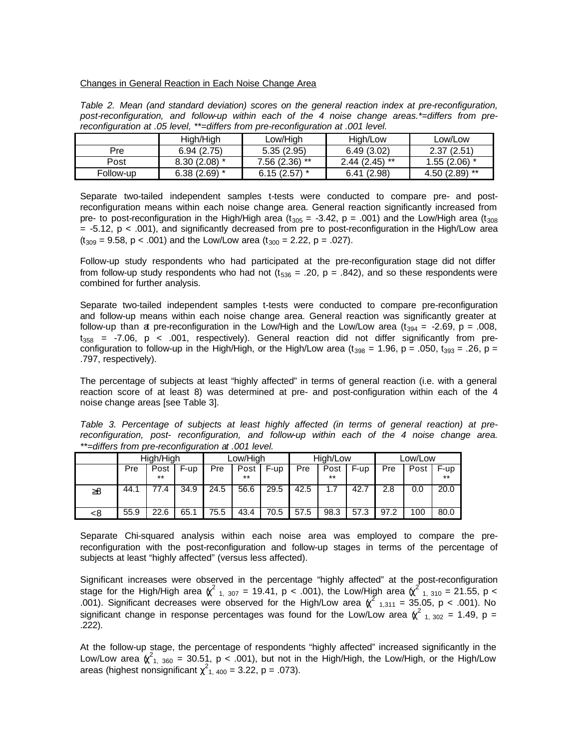#### Changes in General Reaction in Each Noise Change Area

*Table 2. Mean (and standard deviation) scores on the general reaction index at pre-reconfiguration, post-reconfiguration, and follow-up within each of the 4 noise change areas.\*=differs from prereconfiguration at .05 level, \*\*=differs from pre-reconfiguration at .001 level.*

|           | High/High      | Low/High        | High/Low        | Low/Low         |
|-----------|----------------|-----------------|-----------------|-----------------|
| Pre       | 6.94(2.75)     | 5.35(2.95)      | 6.49(3.02)      | 2.37(2.51)      |
| Post      | $8.30(2.08)$ * | $7.56(2.36)$ ** | $2.44(2.45)$ ** | $1.55(2.06)$ *  |
| Follow-up | $6.38(2.69)$ * | $6.15(2.57)$ *  | 6.41(2.98)      | $4.50(2.89)$ ** |

Separate two-tailed independent samples t-tests were conducted to compare pre- and postreconfiguration means within each noise change area. General reaction significantly increased from pre- to post-reconfiguration in the High/High area (t<sub>305</sub> = -3.42, p = .001) and the Low/High area (t<sub>308</sub>) = -5.12, p < .001), and significantly decreased from pre to post-reconfiguration in the High/Low area  $(t_{309} = 9.58, p < .001)$  and the Low/Low area  $(t_{300} = 2.22, p = .027)$ .

Follow-up study respondents who had participated at the pre-reconfiguration stage did not differ from follow-up study respondents who had not ( $t_{536} = .20$ ,  $p = .842$ ), and so these respondents were combined for further analysis.

Separate two-tailed independent samples t-tests were conducted to compare pre-reconfiguration and follow-up means within each noise change area. General reaction was significantly greater at follow-up than at pre-reconfiguration in the Low/High and the Low/Low area  $(t_{394} = -2.69, p = .008,$  $t_{358}$  = -7.06, p < .001, respectively). General reaction did not differ significantly from preconfiguration to follow-up in the High/High, or the High/Low area  $(t_{398} = 1.96, p = .050, t_{393} = .26, p = .050)$ .797, respectively).

The percentage of subjects at least "highly affected" in terms of general reaction (i.e. with a general reaction score of at least 8) was determined at pre- and post-configuration within each of the 4 noise change areas [see Table 3].

*Table 3. Percentage of subjects at least highly affected (in terms of general reaction) at prereconfiguration, post- reconfiguration, and follow-up within each of the 4 noise change area. \*\*=differs from pre-reconfiguration at .001 level.*

|          | High/High |      | Low/High |      | High/Low |      |      | Low/Low |      |      |      |       |
|----------|-----------|------|----------|------|----------|------|------|---------|------|------|------|-------|
|          | Pre       | Post | F-up     | Pre  | Post     | F-up | Pre  | Post    | F-up | Pre  | Post | F-up  |
|          |           | $**$ |          |      | $***$    |      |      | $***$   |      |      |      | $***$ |
| $\geq 8$ | 44.1      | 77.4 | 34.9     | 24.5 | 56.6     | 29.5 | 42.5 | 1.7     | 42.7 | 2.8  | 0.0  | 20.0  |
|          |           |      |          |      |          |      |      |         |      |      |      |       |
| -8       | 55.9      | 22.6 | 65.1     | 75.5 | 43.4     | 70.5 | 57.5 | 98.3    | 57.3 | 97.2 | 100  | 80.0  |

Separate Chi-squared analysis within each noise area was employed to compare the prereconfiguration with the post-reconfiguration and follow-up stages in terms of the percentage of subjects at least "highly affected" (versus less affected).

Significant increases were observed in the percentage "highly affected" at the post-reconfiguration stage for the High/High area  $\chi^2$  <sub>1, 307</sub> = 19.41, p < .001), the Low/High area  $\chi^2$  <sub>1, 310</sub> = 21.55, p < .001). Significant decreases were observed for the High/Low area  $\chi^2$  <sub>1,311</sub> = 35.05, p < .001). No pignificant change in represent presentence was found for the Law use  $\chi^2$  and  $\chi^2$  = 1.40, p significant change in response percentages was found for the Low/Low area  $\chi^2$  <sub>1, 302</sub> = 1.49, p = .222).

At the follow-up stage, the percentage of respondents "highly affected" increased significantly in the Low/Low area  $\chi^2_{1,360}$  = 30.51, p < .001), but not in the High/High, the Low/High, or the High/Low areas (highest nonsignificant  $\chi^2_{1,400}$  = 3.22, p = .073).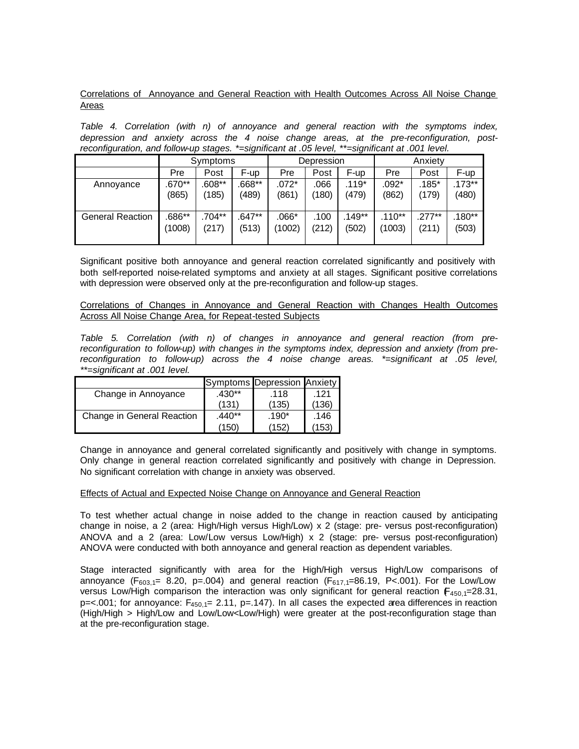Correlations of Annoyance and General Reaction with Health Outcomes Across All Noise Change Areas

*Table 4. Correlation (with n) of annoyance and general reaction with the symptoms index, depression and anxiety across the 4 noise change areas, at the pre-reconfiguration, postreconfiguration, and follow-up stages. \*=significant at .05 level, \*\*=significant at .001 level.*

|                         | Symptoms |           |          | Depression |       |          | Anxiety  |           |          |
|-------------------------|----------|-----------|----------|------------|-------|----------|----------|-----------|----------|
|                         | Pre      | Post      | F-up     | Pre        | Post  | F-up     | Pre      | Post      | F-up     |
| Annovance               | .670**   | $.608**$  | $.668**$ | .072*      | .066  | $.119*$  | $.092*$  | .185*     | $.173**$ |
|                         | (865)    | (185)     | (489)    | (861)      | (180) | (479)    | (862)    | (179)     | (480)    |
| <b>General Reaction</b> | .686**   | $.704***$ | .647**   | $.066*$    | .100  | $.149**$ | $.110**$ | $.277***$ | $.180**$ |
|                         | (1008)   | (217)     | (513)    | (1002)     | (212) | (502)    | (1003)   | (211)     | (503)    |

Significant positive both annoyance and general reaction correlated significantly and positively with both self-reported noise-related symptoms and anxiety at all stages. Significant positive correlations with depression were observed only at the pre-reconfiguration and follow-up stages.

Correlations of Changes in Annoyance and General Reaction with Changes Health Outcomes Across All Noise Change Area, for Repeat-tested Subjects

*Table 5. Correlation (with n) of changes in annoyance and general reaction (from prereconfiguration to follow-up) with changes in the symptoms index, depression and anxiety (from prereconfiguration to follow-up) across the 4 noise change areas. \*=significant at .05 level, \*\*=significant at .001 level.*

|                            |          | Symptoms Depression Anxiety |       |
|----------------------------|----------|-----------------------------|-------|
| Change in Annoyance        | $.430**$ | .118                        | .121  |
|                            | (131     | (135)                       | (136  |
| Change in General Reaction | $.440**$ | $.190*$                     | .146  |
|                            | (150)    | (152)                       | (153) |

Change in annoyance and general correlated significantly and positively with change in symptoms. Only change in general reaction correlated significantly and positively with change in Depression. No significant correlation with change in anxiety was observed.

## Effects of Actual and Expected Noise Change on Annoyance and General Reaction

To test whether actual change in noise added to the change in reaction caused by anticipating change in noise, a 2 (area: High/High versus High/Low) x 2 (stage: pre- versus post-reconfiguration) ANOVA and a 2 (area: Low/Low versus Low/High) x 2 (stage: pre- versus post-reconfiguration) ANOVA were conducted with both annoyance and general reaction as dependent variables.

Stage interacted significantly with area for the High/High versus High/Low comparisons of annoyance (F<sub>603,1</sub>= 8.20, p=.004) and general reaction (F<sub>617,1</sub>=86.19, P<.001). For the Low/Low versus Low/High comparison the interaction was only significant for general reaction  $F_{450,1}=28.31$ ,  $p = 001$ ; for annoyance:  $F_{450,1} = 2.11$ ,  $p = 147$ ). In all cases the expected area differences in reaction (High/High > High/Low and Low/Low<Low/High) were greater at the post-reconfiguration stage than at the pre-reconfiguration stage.